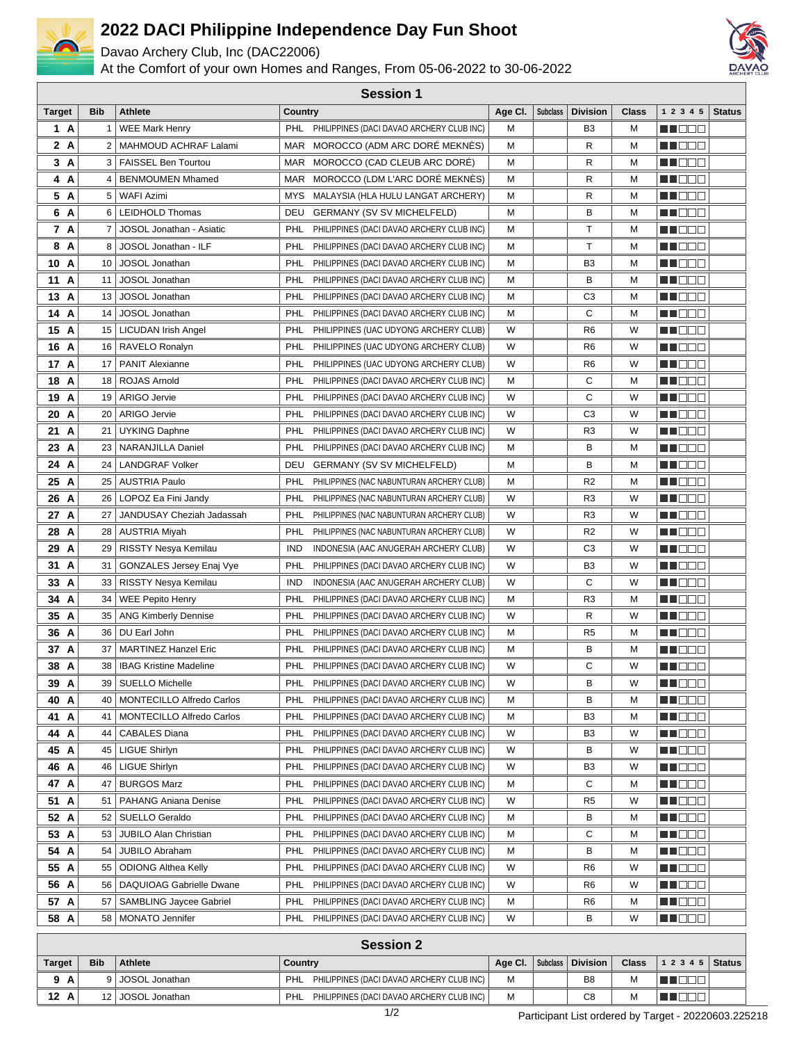

## **2022 DACI Philippine Independence Day Fun Shoot**

Davao Archery Club, Inc (DAC22006)

At the Comfort of your own Homes and Ranges, From 05-06-2022 to 30-06-2022



| <b>Session 1</b>                                                                                                               |              |                                |            |                                           |         |                 |                 |       |                |               |
|--------------------------------------------------------------------------------------------------------------------------------|--------------|--------------------------------|------------|-------------------------------------------|---------|-----------------|-----------------|-------|----------------|---------------|
| Target                                                                                                                         | <b>Bib</b>   | <b>Athlete</b>                 | Country    |                                           | Age Cl. | <b>Subclass</b> | <b>Division</b> | Class | 1 2 3 4 5      | <b>Status</b> |
| 1 A                                                                                                                            | $\mathbf{1}$ | <b>WEE Mark Henry</b>          | <b>PHL</b> | PHILIPPINES (DACI DAVAO ARCHERY CLUB INC) | М       |                 | B <sub>3</sub>  | м     | NN OO E        |               |
| 2 A                                                                                                                            | 2            | MAHMOUD ACHRAF Lalami          | MAR        | MOROCCO (ADM ARC DORE MEKNES)             | M       |                 | R               | м     | N I DE E       |               |
| 3 A                                                                                                                            |              | 3   FAISSEL Ben Tourtou        | MAR.       | MOROCCO (CAD CLEUB ARC DORE)              | М       |                 | R               | м     | MUOOO          |               |
| 4 A                                                                                                                            | 4            | <b>BENMOUMEN Mhamed</b>        | MAR        | MOROCCO (LDM L'ARC DORÉ MEKNÈS)           | М       |                 | R               | м     | N I DE E       |               |
| 5 A                                                                                                                            | 5            | WAFI Azimi                     | MYS        | MALAYSIA (HLA HULU LANGAT ARCHERY)        | M       |                 | R               | М     | MO DO          |               |
| 6 A                                                                                                                            | 6            | <b>LEIDHOLD Thomas</b>         | DEU        | <b>GERMANY (SV SV MICHELFELD)</b>         | M       |                 | в               | м     | N NO DE        |               |
| 7 A                                                                                                                            | 7            | JOSOL Jonathan - Asiatic       | PHL        | PHILIPPINES (DACI DAVAO ARCHERY CLUB INC) | М       |                 | т               | м     | M DEE          |               |
| 8 A                                                                                                                            | 8            | JOSOL Jonathan - ILF           | PHL        | PHILIPPINES (DACI DAVAO ARCHERY CLUB INC) | М       |                 | т               | м     | MO DO O        |               |
| 10<br>A                                                                                                                        | 10           | JOSOL Jonathan                 | PHL        | PHILIPPINES (DACI DAVAO ARCHERY CLUB INC) | М       |                 | B3              | м     | MO DO O        |               |
| 11 A                                                                                                                           | 11           | JOSOL Jonathan                 | PHL        | PHILIPPINES (DACI DAVAO ARCHERY CLUB INC) | M       |                 | в               | м     | n i Biblio     |               |
| 13 A                                                                                                                           | 13           | JOSOL Jonathan                 | PHL        | PHILIPPINES (DACI DAVAO ARCHERY CLUB INC) | M       |                 | C3              | м     | e de e         |               |
| 14 A                                                                                                                           | 14           | JOSOL Jonathan                 | PHL        | PHILIPPINES (DACI DAVAO ARCHERY CLUB INC) | M       |                 | С               | М     | MU DE B        |               |
| 15 A                                                                                                                           | 15           | <b>LICUDAN Irish Angel</b>     | PHL        | PHILIPPINES (UAC UDYONG ARCHERY CLUB)     | W       |                 | R <sub>6</sub>  | W     | e de e         |               |
| 16 A                                                                                                                           | 16           | RAVELO Ronalyn                 | PHL        | PHILIPPINES (UAC UDYONG ARCHERY CLUB)     | W       |                 | R <sub>6</sub>  | W     | n i Biblio     |               |
| 17 A                                                                                                                           | 17           | <b>PANIT Alexianne</b>         | PHL        | PHILIPPINES (UAC UDYONG ARCHERY CLUB)     | W       |                 | R6              | W     | e de e         |               |
| 18 A                                                                                                                           | 18           | <b>ROJAS Arnold</b>            | PHL        | PHILIPPINES (DACI DAVAO ARCHERY CLUB INC) | M       |                 | С               | м     | MO DO O        |               |
| 19 A                                                                                                                           | 19           | <b>ARIGO Jervie</b>            | PHL        | PHILIPPINES (DACI DAVAO ARCHERY CLUB INC) | W       |                 | С               | W     | M DEE          |               |
| 20 A                                                                                                                           | 20           | <b>ARIGO Jervie</b>            | PHL        | PHILIPPINES (DACI DAVAO ARCHERY CLUB INC) | W       |                 | C <sub>3</sub>  | W     | n i Biblio     |               |
| 21 A                                                                                                                           | 21           | <b>UYKING Daphne</b>           | PHL        | PHILIPPINES (DACI DAVAO ARCHERY CLUB INC) | W       |                 | R <sub>3</sub>  | W     | MU DO 2        |               |
| 23 A                                                                                                                           | 23           | NARANJILLA Daniel              | PHL        | PHILIPPINES (DACI DAVAO ARCHERY CLUB INC) | M       |                 | в               | М     | man man        |               |
| 24 A                                                                                                                           | 24           | <b>LANDGRAF Volker</b>         | DEU        | <b>GERMANY (SV SV MICHELFELD)</b>         | M       |                 | В               | М     | e de e         |               |
| 25 A                                                                                                                           | 25           | <b>AUSTRIA Paulo</b>           | PHL        | PHILIPPINES (NAC NABUNTURAN ARCHERY CLUB) | M       |                 | R <sub>2</sub>  | М     | e de e         |               |
| 26 A                                                                                                                           | 26           | LOPOZ Ea Fini Jandy            | PHL        | PHILIPPINES (NAC NABUNTURAN ARCHERY CLUB) | W       |                 | R3              | W     | <u> Hees</u>   |               |
| 27 A                                                                                                                           | 27           | JANDUSAY Cheziah Jadassah      | PHL        | PHILIPPINES (NAC NABUNTURAN ARCHERY CLUB) | W       |                 | R <sub>3</sub>  | W     | MU DO O        |               |
| 28 A                                                                                                                           | 28           | <b>AUSTRIA Miyah</b>           | PHL        | PHILIPPINES (NAC NABUNTURAN ARCHERY CLUB) | W       |                 | R <sub>2</sub>  | W     | <u> Hees</u>   |               |
| 29 A                                                                                                                           | 29           | RISSTY Nesya Kemilau           | IND        | INDONESIA (AAC ANUGERAH ARCHERY CLUB)     | W       |                 | C <sub>3</sub>  | W     | MU DO D        |               |
| 31 A                                                                                                                           | 31           | GONZALES Jersey Enaj Vye       | PHL        | PHILIPPINES (DACI DAVAO ARCHERY CLUB INC) | W       |                 | B3              | W     | M DEE          |               |
| 33 A                                                                                                                           | 33           | RISSTY Nesya Kemilau           | <b>IND</b> | INDONESIA (AAC ANUGERAH ARCHERY CLUB)     | W       |                 | С               | W     | MA BER         |               |
| 34 A                                                                                                                           | 34           | WEE Pepito Henry               | PHL        | PHILIPPINES (DACI DAVAO ARCHERY CLUB INC) | M       |                 | R3              | М     | MU DO D        |               |
| 35 A                                                                                                                           | 35           | ANG Kimberly Dennise           | PHL        | PHILIPPINES (DACI DAVAO ARCHERY CLUB INC) | W       |                 | R               | W     | n in Biblio    |               |
| 36 A                                                                                                                           | 36           | DU Earl John                   | PHL        | PHILIPPINES (DACI DAVAO ARCHERY CLUB INC) | М       |                 | R5              | м     | M DEE          |               |
| 37 A                                                                                                                           | 37           | <b>MARTINEZ Hanzel Eric</b>    | PHL        | PHILIPPINES (DACI DAVAO ARCHERY CLUB INC) | M       |                 | в               | М     | M DEE          |               |
| 38 A                                                                                                                           | 38           | <b>IBAG Kristine Madeline</b>  | PHL        | PHILIPPINES (DACI DAVAO ARCHERY CLUB INC) | W       |                 | С               | W     | M DEE          |               |
| 39 A                                                                                                                           |              | 39   SUELLO Michelle           | PHL        | PHILIPPINES (DACI DAVAO ARCHERY CLUB INC) | W       |                 | В               | W     | <u>Li de d</u> |               |
| 40 A                                                                                                                           | 40           | MONTECILLO Alfredo Carlos      | PHL        | PHILIPPINES (DACI DAVAO ARCHERY CLUB INC) | М       |                 | В               | м     | WU O O O       |               |
| 41 A                                                                                                                           | 41           | MONTECILLO Alfredo Carlos      | PHL        | PHILIPPINES (DACI DAVAO ARCHERY CLUB INC) | M       |                 | B3              | М     | <u>Macao</u>   |               |
| 44 A                                                                                                                           | 44           | <b>CABALES Diana</b>           | PHL        | PHILIPPINES (DACI DAVAO ARCHERY CLUB INC) | W       |                 | B3              | W     | <u> HELEE</u>  |               |
| 45 A                                                                                                                           | 45           | LIGUE Shirlyn                  | PHL        | PHILIPPINES (DACI DAVAO ARCHERY CLUB INC) | W       |                 | В               | W     | WU 88          |               |
| 46 A                                                                                                                           | 46           | LIGUE Shirlyn                  | PHL        | PHILIPPINES (DACI DAVAO ARCHERY CLUB INC) | W       |                 | B3              | W     | M D D D        |               |
| 47 A                                                                                                                           | 47           | <b>BURGOS Marz</b>             | PHL        | PHILIPPINES (DACI DAVAO ARCHERY CLUB INC) | M       |                 | С               | М     | WO OO U        |               |
| 51 A                                                                                                                           | 51           | <b>PAHANG Aniana Denise</b>    | PHL        | PHILIPPINES (DACI DAVAO ARCHERY CLUB INC) | W       |                 | R <sub>5</sub>  | W     | MU BER         |               |
| 52 A                                                                                                                           | 52           | SUELLO Geraldo                 | PHL        | PHILIPPINES (DACI DAVAO ARCHERY CLUB INC) | М       |                 | В               | М     | <u>Li doo</u>  |               |
| 53 A                                                                                                                           | 53           | JUBILO Alan Christian          | PHL        | PHILIPPINES (DACI DAVAO ARCHERY CLUB INC) | М       |                 | С               | М     | WU 88          |               |
| 54 A                                                                                                                           | 54           | <b>JUBILO Abraham</b>          | PHL        | PHILIPPINES (DACI DAVAO ARCHERY CLUB INC) | М       |                 | В               | М     | MU O O O       |               |
| 55 A                                                                                                                           | 55           | <b>ODIONG Althea Kelly</b>     | PHL        | PHILIPPINES (DACI DAVAO ARCHERY CLUB INC) | W       |                 | R6              | W     | M D B B        |               |
| 56 A                                                                                                                           | 56           | DAQUIOAG Gabrielle Dwane       | PHL        | PHILIPPINES (DACI DAVAO ARCHERY CLUB INC) | W       |                 | R6              | W     | WU 88          |               |
| 57 A                                                                                                                           | 57           | <b>SAMBLING Jaycee Gabriel</b> | PHL        | PHILIPPINES (DACI DAVAO ARCHERY CLUB INC) | M       |                 | R6              | М     | <u> Here a</u> |               |
| 58 A<br><b>MUDDE</b><br>58<br><b>MONATO Jennifer</b><br><b>PHL</b><br>PHILIPPINES (DACI DAVAO ARCHERY CLUB INC)<br>W<br>В<br>W |              |                                |            |                                           |         |                 |                 |       |                |               |
| <b>Session 2</b>                                                                                                               |              |                                |            |                                           |         |                 |                 |       |                |               |

| <b>Target</b> | <b>Bib</b> | <b>Athlete</b> | Countrv                                          | Age Cl. | Subclass   Division | <b>Class</b> | $12345$ | Status I |
|---------------|------------|----------------|--------------------------------------------------|---------|---------------------|--------------|---------|----------|
|               |            | JOSOL Jonathan | PHILIPPINES (DACI DAVAO ARCHERY CLUB INC)<br>PHL | м       | B <sub>8</sub>      |              |         |          |
| 12A           | 121        | JOSOL Jonathan | PHILIPPINES (DACI DAVAO ARCHERY CLUB INC)<br>PHL |         | C8                  |              |         |          |